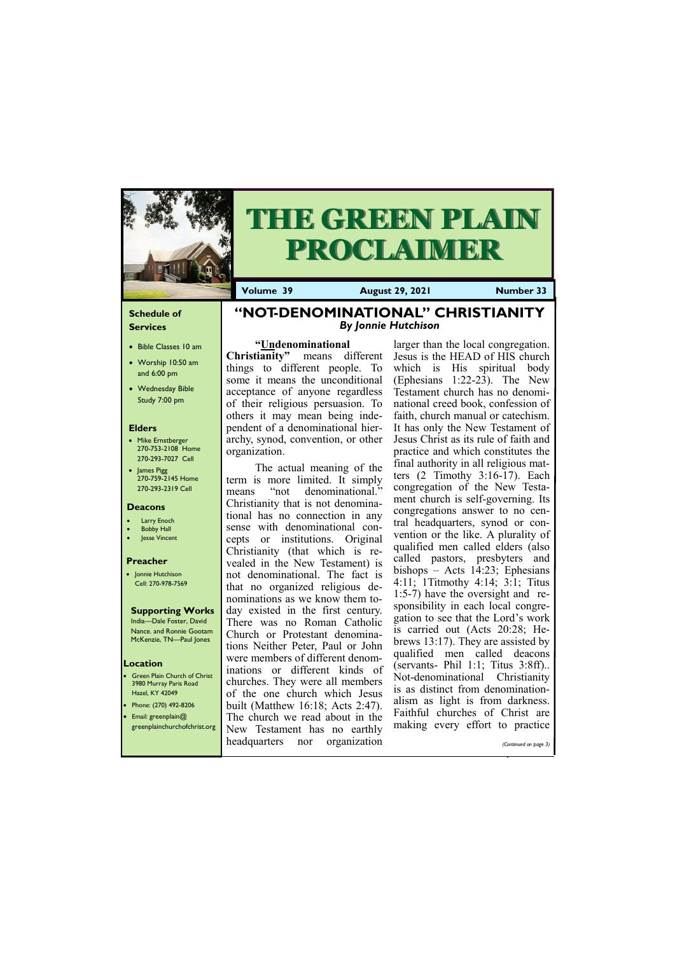#### **Schedule of Services**

- Bible Classes 10 am
- Worship 10:50 am and 6:00 pm
- Wednesday Bible Study 7:00 pm

#### **Elders**

- Mike Ernstberger 270-753-2108 Home 270-293-7027 Cell
- James Pigg 270-759-2145 Home 270-293-2319 Cell

**Green Plain Church of Christ** 3980 Murray Paris Road Hazel, KY 42049 • Phone: (270) 492-8206 • Email: greenplain@

#### **Location**



# **THE GREEN PLAIN PROCLAIMER**

**Volume 39 August 29, 2021 Number 33**

#### **Deacons**

- **Larry Enoch**
- **Bobby Hall**
- Jesse Vincent

#### **Preacher**

• Jonnie Hutchison Cell: 270-978-7569

#### **Supporting Works**

India—Dale Foster, David Nance. and Ronnie Gootam McKenzie, TN—Paul Jones

## **"NOT-DENOMINATIONAL" CHRISTIANITY** *By Jonnie Hutchison*

#### **"Undenominational**

**Christianity"** means different things to different people. To some it means the unconditional acceptance of anyone regardless of their religious persuasion. To others it may mean being independent of a denominational hierarchy, synod, convention, or other organization.

The actual meaning of the term is more limited. It simply means "not denominational." Christianity that is not denominational has no connection in any sense with denominational concepts or institutions. Original Christianity (that which is revealed in the New Testament) is not denominational. The fact is that no organized religious denominations as we know them today existed in the first century. There was no Roman Catholic Church or Protestant denominations Neither Peter, Paul or John were members of different denominations or different kinds of churches. They were all members of the one church which Jesus built (Matthew 16:18; Acts 2:47). The church we read about in the

| $\blacksquare$ The charge we read dood! In the<br>making every effort to practice<br>greenplainchurchofchrist.org New Testament has no earthly |                       |
|------------------------------------------------------------------------------------------------------------------------------------------------|-----------------------|
| headquarters nor organization                                                                                                                  | (Continued on page 3) |

larger than the local congregation. Jesus is the HEAD of HIS church which is His spiritual body (Ephesians 1:22-23). The New Testament church has no denominational creed book, confession of faith, church manual or catechism. It has only the New Testament of Jesus Christ as its rule of faith and practice and which constitutes the final authority in all religious matters (2 Timothy 3:16-17). Each congregation of the New Testament church is self-governing. Its congregations answer to no central headquarters, synod or convention or the like. A plurality of qualified men called elders (also called pastors, presbyters and bishops – Acts 14:23; Ephesians 4:11; 1Titmothy 4:14; 3:1; Titus 1:5-7) have the oversight and responsibility in each local congregation to see that the Lord's work is carried out (Acts 20:28; Hebrews 13:17). They are assisted by qualified men called deacons (servants- Phil 1:1; Titus 3:8ff).. Not-denominational Christianity is as distinct from denominationalism as light is from darkness. Faithful churches of Christ are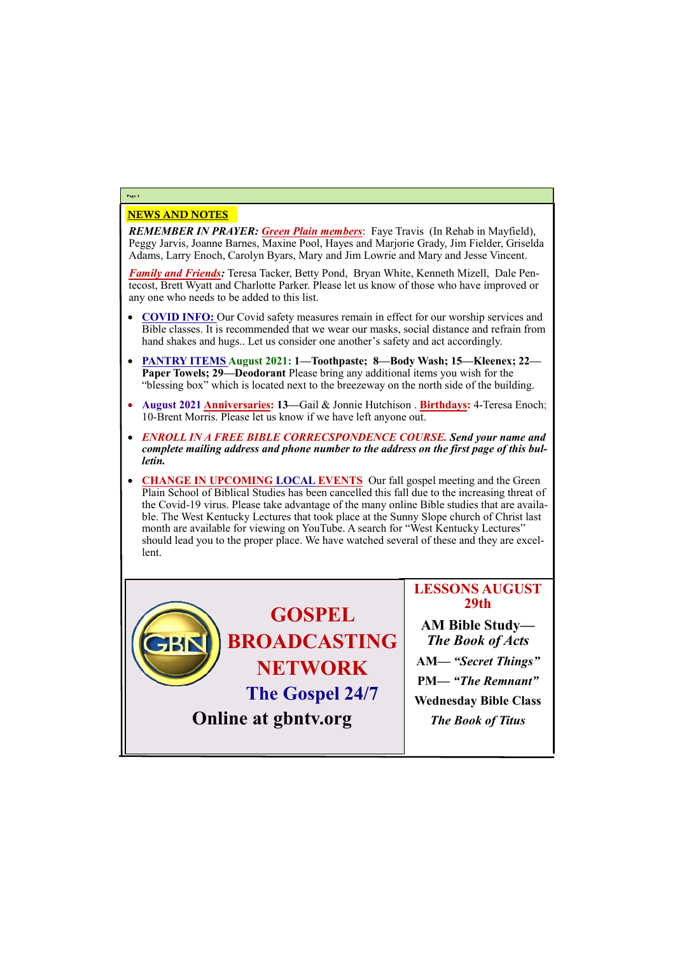### NEWS AND NOTES

*REMEMBER IN PRAYER: Green Plain members*: Faye Travis (In Rehab in Mayfield), Peggy Jarvis, Joanne Barnes, Maxine Pool, Hayes and Marjorie Grady, Jim Fielder, Griselda Adams, Larry Enoch, Carolyn Byars, Mary and Jim Lowrie and Mary and Jesse Vincent.

*Family and Friends:* Teresa Tacker, Betty Pond, Bryan White, Kenneth Mizell, Dale Pentecost, Brett Wyatt and Charlotte Parker. Please let us know of those who have improved or any one who needs to be added to this list.

- **COVID INFO:** Our Covid safety measures remain in effect for our worship services and Bible classes. It is recommended that we wear our masks, social distance and refrain from hand shakes and hugs.. Let us consider one another's safety and act accordingly.
- **PANTRY ITEMS August 2021: 1—Toothpaste; 8—Body Wash; 15—Kleenex; 22— Paper Towels; 29—Deodorant** Please bring any additional items you wish for the "blessing box" which is located next to the breezeway on the north side of the building.
- **August 2021 Anniversaries: 13—**Gail & Jonnie Hutchison . **Birthdays:** 4-Teresa Enoch; 10-Brent Morris. Please let us know if we have left anyone out.
- *ENROLL IN A FREE BIBLE CORRECSPONDENCE COURSE. Send your name and complete mailing address and phone number to the address on the first page of this bulletin.*
- **CHANGE IN UPCOMING LOCAL EVENTS** Our fall gospel meeting and the Green Plain School of Biblical Studies has been cancelled this fall due to the increasing threat of the Covid-19 virus. Please take advantage of the many online Bible studies that are available. The West Kentucky Lectures that took place at the Sunny Slope church of Christ last month are available for viewing on YouTube. A search for "West Kentucky Lectures" should lead you to the proper place. We have watched several of these and they are excellent.

# **Page 2**

**GOSPEL BROADCASTING NETWORK The Gospel 24/7**

**LESSONS AUGUST 29th AM Bible Study—** *The Book of Acts*



**AM***— "Secret Things"* **PM—** *"The Remnant"* **Wednesday Bible Class**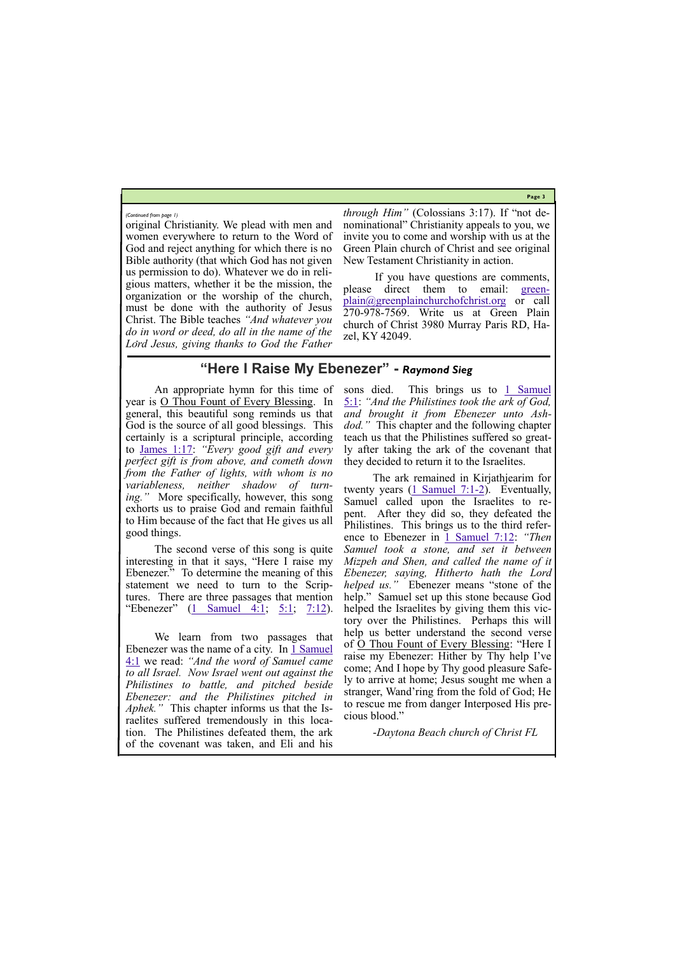**Page 3**

original Christianity. We plead with men and women everywhere to return to the Word of God and reject anything for which there is no Bible authority (that which God has not given us permission to do). Whatever we do in religious matters, whether it be the mission, the organization or the worship of the church, must be done with the authority of Jesus Christ. The Bible teaches *"And whatever you do in word or deed, do all in the name of the Lord Jesus, giving thanks to God the Father* 

*through Him"* (Colossians 3:17). If "not denominational" Christianity appeals to you, we invite you to come and worship with us at the Green Plain church of Christ and see original New Testament Christianity in action.

The second verse of this song is quite interesting in that it says, "Here I raise my Ebenezer." To determine the meaning of this statement we need to turn to the Scriptures. There are three passages that mention "Ebenezer"  $(1 \text{ Samuel } 4:1; 5:1; 7:12)$  $(1 \text{ Samuel } 4:1; 5:1; 7:12)$  $(1 \text{ Samuel } 4:1; 5:1; 7:12)$  $(1 \text{ Samuel } 4:1; 5:1; 7:12)$ .

If you have questions are comments, please direct them to email: [green](mailto:greenplain@greenplainchurchofchrist.org)[plain@greenplainchurchofchrist.org](mailto:greenplain@greenplainchurchofchrist.org) or call 270-978-7569. Write us at Green Plain church of Christ 3980 Murray Paris RD, Hazel, KY 42049.

*(Continued from page 1)*

## **"Here I Raise My Ebenezer" -** *Raymond Sieg*

sons died. This brings us to  $1$  Samuel [5:1:](https://biblia.com/bible/nkjv/1%20Sam%205.1) *"And the Philistines took the ark of God, and brought it from Ebenezer unto Ashdod."* This chapter and the following chapter teach us that the Philistines suffered so greatly after taking the ark of the covenant that they decided to return it to the Israelites.

An appropriate hymn for this time of year is O Thou Fount of Every Blessing. In general, this beautiful song reminds us that God is the source of all good blessings. This certainly is a scriptural principle, according to [James 1:17:](https://biblia.com/bible/nkjv/James%201.17) *"Every good gift and every perfect gift is from above, and cometh down from the Father of lights, with whom is no variableness, neither shadow of turning."* More specifically, however, this song exhorts us to praise God and remain faithful to Him because of the fact that He gives us all good things.

We learn from two passages that Ebenezer was the name of a city. In  $1$  Samuel [4:1](https://biblia.com/bible/nkjv/1%20Sam%204.1) we read: *"And the word of Samuel came to all Israel. Now Israel went out against the Philistines to battle, and pitched beside Ebenezer: and the Philistines pitched in Aphek."* This chapter informs us that the Israelites suffered tremendously in this location. The Philistines defeated them, the ark of the covenant was taken, and Eli and his

The ark remained in Kirjathjearim for twenty years  $(1 \text{ Samuel } 7:1-2)$ . Eventually, Samuel called upon the Israelites to repent. After they did so, they defeated the Philistines. This brings us to the third reference to Ebenezer in <u>1 Samuel 7:12</u>: *"Then Samuel took a stone, and set it between Mizpeh and Shen, and called the name of it Ebenezer, saying, Hitherto hath the Lord helped us."* Ebenezer means "stone of the help." Samuel set up this stone because God helped the Israelites by giving them this victory over the Philistines. Perhaps this will help us better understand the second verse of O Thou Fount of Every Blessing: "Here I raise my Ebenezer: Hither by Thy help I've come; And I hope by Thy good pleasure Safely to arrive at home; Jesus sought me when a stranger, Wand'ring from the fold of God; He to rescue me from danger Interposed His precious blood."

-*Daytona Beach church of Christ FL*